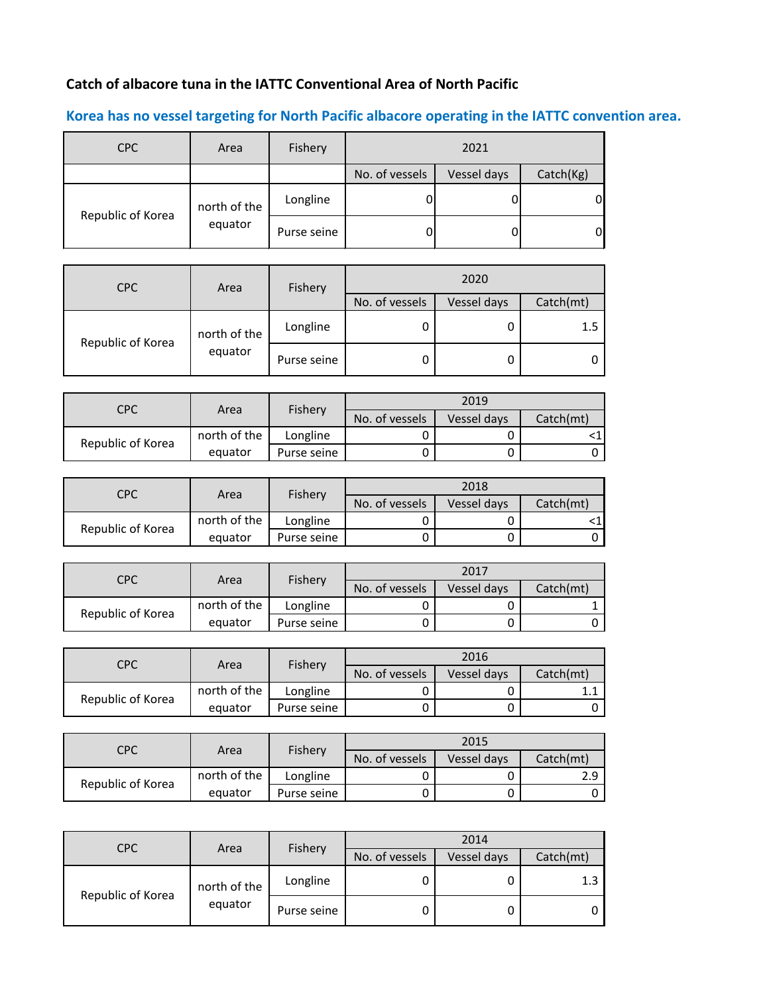## **Catch of albacore tuna in the IATTC Conventional Area of North Pacific**

## **Korea has no vessel targeting for North Pacific albacore operating in the IATTC convention area.**

| <b>CPC</b>        | Area         | Fishery     | 2021           |             |                |
|-------------------|--------------|-------------|----------------|-------------|----------------|
|                   |              |             | No. of vessels | Vessel days | Catch(Kg)      |
| Republic of Korea | north of the | Longline    |                |             | $\Omega$       |
|                   | equator      | Purse seine |                |             | $\overline{0}$ |

| <b>CPC</b>        | Area         | Fishery     | 2020           |           |         |
|-------------------|--------------|-------------|----------------|-----------|---------|
|                   |              |             | No. of vessels | Catch(mt) |         |
| Republic of Korea | north of the | Longline    | 0              |           | $1.5\,$ |
|                   | equator      | Purse seine | 0              |           |         |

| CPC               | Fishery<br>Area |             | 2019           |             |           |
|-------------------|-----------------|-------------|----------------|-------------|-----------|
|                   |                 |             | No. of vessels | Vessel days | Catch(mt) |
| Republic of Korea | north of the    | Longline    |                |             |           |
|                   | equator         | Purse seine |                |             |           |

| CPC               | <b>Fishery</b><br>Area |             | 2018           |             |           |
|-------------------|------------------------|-------------|----------------|-------------|-----------|
|                   |                        |             | No. of vessels | Vessel days | Catch(mt) |
| Republic of Korea | north of the           | Longline    |                |             |           |
|                   | equator                | Purse seine |                |             |           |

| CPC               |              |             | 2017           |             |           |
|-------------------|--------------|-------------|----------------|-------------|-----------|
|                   | Area         | Fishery     | No. of vessels | Vessel days | Catch(mt) |
| Republic of Korea | north of the | Longline    |                |             |           |
|                   | equator      | Purse seine |                |             |           |

| CPC               | Area         | Fishery     |                | 2016        |           |  |
|-------------------|--------------|-------------|----------------|-------------|-----------|--|
|                   |              |             | No. of vessels | Vessel days | Catch(mt) |  |
| Republic of Korea | north of the | Longline    |                |             |           |  |
|                   | equator      | Purse seine |                |             |           |  |

| CPC               |              |             | 2015           |             |           |
|-------------------|--------------|-------------|----------------|-------------|-----------|
|                   | Area         | Fishery     | No. of vessels | Vessel days | Catch(mt) |
| Republic of Korea | north of the | Longline    |                |             | ם כ       |
|                   | equator      | Purse seine |                |             |           |

| <b>CPC</b>        | Area         | Fishery     |                | 2014      |     |
|-------------------|--------------|-------------|----------------|-----------|-----|
|                   |              |             | No. of vessels | Catch(mt) |     |
| Republic of Korea | north of the | Longline    | 0              |           | 1.3 |
|                   | equator      | Purse seine | 0              |           |     |